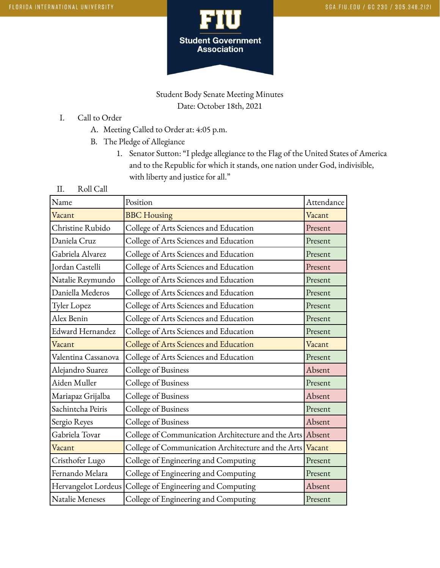

Student Body Senate Meeting Minutes Date: October 18th, 2021

- I. Call to Order
	- A. Meeting Called to Order at: 4:05 p.m.
	- B. The Pledge of Allegiance
		- 1. Senator Sutton: "I pledge allegiance to the Flag of the United States of America and to the Republic for which it stands, one nation under God, indivisible, with liberty and justice for all."
- II. Roll Call

| Name                | Position                                                  | Attendance |
|---------------------|-----------------------------------------------------------|------------|
| Vacant              | <b>BBC</b> Housing                                        | Vacant     |
| Christine Rubido    | College of Arts Sciences and Education                    | Present    |
| Daniela Cruz        | College of Arts Sciences and Education                    | Present    |
| Gabriela Alvarez    | College of Arts Sciences and Education                    | Present    |
| Jordan Castelli     | College of Arts Sciences and Education                    | Present    |
| Natalie Reymundo    | College of Arts Sciences and Education                    | Present    |
| Daniella Mederos    | College of Arts Sciences and Education                    | Present    |
| Tyler Lopez         | College of Arts Sciences and Education                    | Present    |
| Alex Benin          | College of Arts Sciences and Education                    | Present    |
| Edward Hernandez    | College of Arts Sciences and Education                    | Present    |
| Vacant              | College of Arts Sciences and Education                    | Vacant     |
| Valentina Cassanova | College of Arts Sciences and Education                    | Present    |
| Alejandro Suarez    | College of Business                                       | Absent     |
| Aiden Muller        | College of Business                                       | Present    |
| Mariapaz Grijalba   | College of Business                                       | Absent     |
| Sachintcha Peiris   | College of Business                                       | Present    |
| Sergio Reyes        | College of Business                                       | Absent     |
| Gabriela Tovar      | College of Communication Architecture and the Arts Absent |            |
| Vacant              | College of Communication Architecture and the Arts Vacant |            |
| Cristhofer Lugo     | College of Engineering and Computing                      | Present    |
| Fernando Melara     | College of Engineering and Computing                      | Present    |
| Hervangelot Lordeus | College of Engineering and Computing                      | Absent     |
| Natalie Meneses     | College of Engineering and Computing                      | Present    |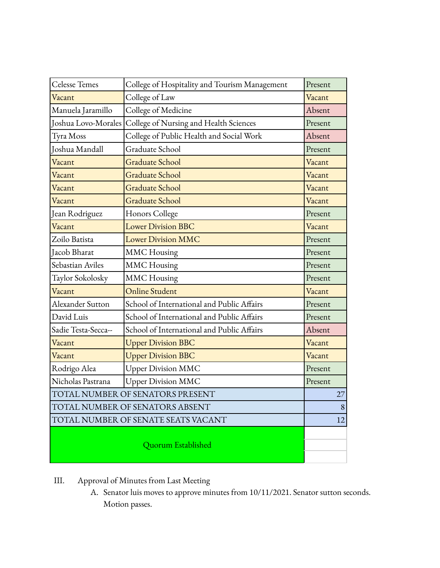| Celesse Temes                       | College of Hospitality and Tourism Management | Present |
|-------------------------------------|-----------------------------------------------|---------|
| Vacant                              | College of Law                                | Vacant  |
| Manuela Jaramillo                   | College of Medicine                           | Absent  |
| Joshua Lovo-Morales                 | College of Nursing and Health Sciences        | Present |
| Tyra Moss                           | College of Public Health and Social Work      | Absent  |
| Joshua Mandall                      | Graduate School                               | Present |
| Vacant                              | <b>Graduate School</b>                        | Vacant  |
| Vacant                              | <b>Graduate School</b>                        | Vacant  |
| Vacant                              | <b>Graduate School</b>                        | Vacant  |
| Vacant                              | <b>Graduate School</b>                        | Vacant  |
| Jean Rodriguez                      | Honors College                                | Present |
| Vacant                              | <b>Lower Division BBC</b>                     | Vacant  |
| Zoilo Batista                       | <b>Lower Division MMC</b>                     | Present |
| Jacob Bharat                        | <b>MMC</b> Housing                            | Present |
| Sebastian Aviles                    | <b>MMC</b> Housing                            | Present |
| Taylor Sokolosky                    | <b>MMC</b> Housing                            | Present |
| Vacant                              | <b>Online Student</b>                         | Vacant  |
| Alexander Sutton                    | School of International and Public Affairs    | Present |
| David Luis                          | School of International and Public Affairs    | Present |
| Sadie Testa-Secca--                 | School of International and Public Affairs    | Absent  |
| Vacant                              | <b>Upper Division BBC</b>                     | Vacant  |
| Vacant                              | <b>Upper Division BBC</b>                     | Vacant  |
| Rodrigo Alea                        | <b>Upper Division MMC</b>                     | Present |
| Nicholas Pastrana                   | <b>Upper Division MMC</b>                     | Present |
| TOTAL NUMBER OF SENATORS PRESENT    |                                               | 27      |
| TOTAL NUMBER OF SENATORS ABSENT     |                                               | 8       |
| TOTAL NUMBER OF SENATE SEATS VACANT |                                               |         |
| Quorum Established                  |                                               |         |

- III. Approval of Minutes from Last Meeting
	- A. Senator luis moves to approve minutes from 10/11/2021. Senator sutton seconds. Motion passes.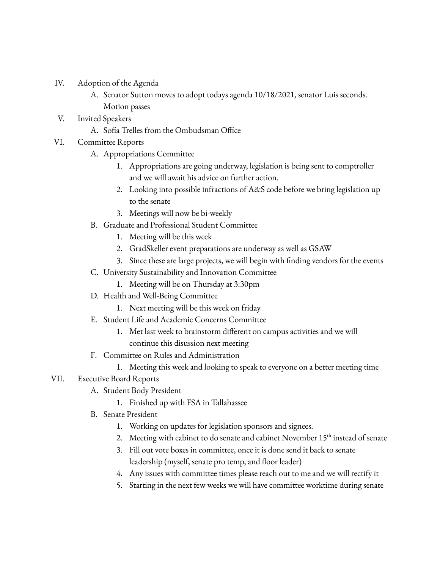- IV. Adoption of the Agenda
	- A. Senator Sutton moves to adopt todays agenda 10/18/2021, senator Luis seconds. Motion passes
- V. Invited Speakers
	- A. Sofia Trelles from the Ombudsman Office
- VI. Committee Reports
	- A. Appropriations Committee
		- 1. Appropriations are going underway, legislation is being sent to comptroller and we will await his advice on further action.
		- 2. Looking into possible infractions of A&S code before we bring legislation up to the senate
		- 3. Meetings will now be bi-weekly
	- B. Graduate and Professional Student Committee
		- 1. Meeting will be this week
		- 2. GradSkeller event preparations are underway as well as GSAW
		- 3. Since these are large projects, we will begin with finding vendors for the events
	- C. University Sustainability and Innovation Committee
		- 1. Meeting will be on Thursday at 3:30pm
	- D. Health and Well-Being Committee
		- 1. Next meeting will be this week on friday
	- E. Student Life and Academic Concerns Committee
		- 1. Met last week to brainstorm different on campus activities and we will continue this disussion next meeting
	- F. Committee on Rules and Administration
		- 1. Meeting this week and looking to speak to everyone on a better meeting time

## VII. Executive Board Reports

- A. Student Body President
	- 1. Finished up with FSA in Tallahassee
- B. Senate President
	- 1. Working on updates for legislation sponsors and signees.
	- 2. Meeting with cabinet to do senate and cabinet November 15<sup>th</sup> instead of senate
	- 3. Fill out vote boxes in committee, once it is done send it back to senate leadership (myself, senate pro temp, and floor leader)
	- 4. Any issues with committee times please reach out to me and we will rectify it
	- 5. Starting in the next few weeks we will have committee worktime during senate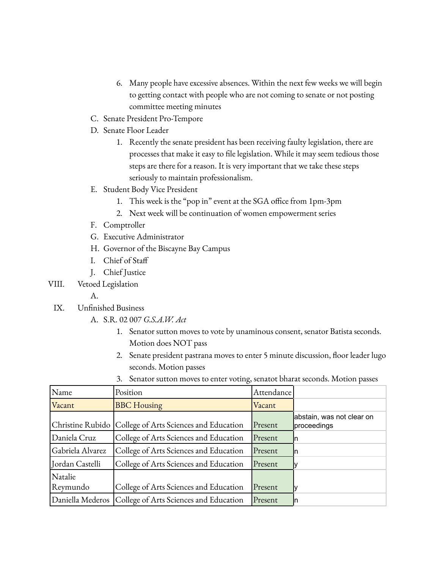- 6. Many people have excessive absences. Within the next few weeks we will begin to getting contact with people who are not coming to senate or not posting committee meeting minutes
- C. Senate President Pro-Tempore
- D. Senate Floor Leader
	- 1. Recently the senate president has been receiving faulty legislation, there are processes that make it easy to file legislation. While it may seem tedious those steps are there for a reason. It is very important that we take these steps seriously to maintain professionalism.
- E. Student Body Vice President
	- 1. This week is the "pop in" event at the SGA office from 1pm-3pm
	- 2. Next week will be continuation of women empowerment series
- F. Comptroller
- G. Executive Administrator
- H. Governor of the Biscayne Bay Campus
- I. Chief of Staff
- J. Chief Justice
- VIII. Vetoed Legislation
	- A.
	- IX. Unfinished Business
		- A. S.R. 02 007 *G.S.A.W. Act*
			- 1. Senator sutton moves to vote by unaminous consent, senator Batista seconds. Motion does NOT pass
			- 2. Senate president pastrana moves to enter 5 minute discussion, floor leader lugo seconds. Motion passes
			- 3. Senator sutton moves to enter voting, senatot bharat seconds. Motion passes

| Name             | Position                                                  | Attendance |                                          |
|------------------|-----------------------------------------------------------|------------|------------------------------------------|
| Vacant           | <b>BBC</b> Housing                                        | Vacant     |                                          |
|                  | Christine Rubido   College of Arts Sciences and Education | Present    | abstain, was not clear on<br>proceedings |
| Daniela Cruz     | College of Arts Sciences and Education                    | Present    | In                                       |
| Gabriela Alvarez | College of Arts Sciences and Education                    | Present    | In                                       |
| Jordan Castelli  | College of Arts Sciences and Education                    | Present    |                                          |
| Natalie          |                                                           |            |                                          |
| Reymundo         | College of Arts Sciences and Education                    | Present    |                                          |
|                  | Daniella Mederos   College of Arts Sciences and Education | Present    | In                                       |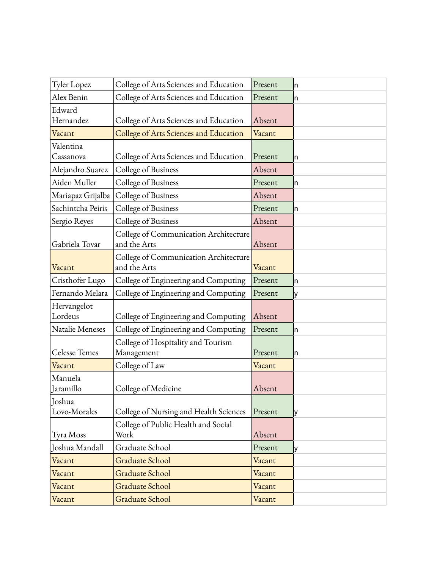| <b>Tyler Lopez</b>   | College of Arts Sciences and Education | Present | In  |
|----------------------|----------------------------------------|---------|-----|
| Alex Benin           | College of Arts Sciences and Education | Present | In  |
| Edward               |                                        |         |     |
| Hernandez            | College of Arts Sciences and Education | Absent  |     |
| Vacant               | College of Arts Sciences and Education | Vacant  |     |
| Valentina            |                                        |         |     |
| Cassanova            | College of Arts Sciences and Education | Present | In  |
| Alejandro Suarez     | College of Business                    | Absent  |     |
| Aiden Muller         | College of Business                    | Present | In  |
| Mariapaz Grijalba    | College of Business                    | Absent  |     |
| Sachintcha Peiris    | College of Business                    | Present | In  |
| Sergio Reyes         | College of Business                    | Absent  |     |
|                      | College of Communication Architecture  |         |     |
| Gabriela Tovar       | and the Arts                           | Absent  |     |
|                      | College of Communication Architecture  |         |     |
| Vacant               | and the Arts                           | Vacant  |     |
| Cristhofer Lugo      | College of Engineering and Computing   | Present | ln. |
| Fernando Melara      | College of Engineering and Computing   | Present | lу  |
| Hervangelot          |                                        |         |     |
| Lordeus              | College of Engineering and Computing   | Absent  |     |
| Natalie Meneses      | College of Engineering and Computing   | Present | In  |
|                      | College of Hospitality and Tourism     |         |     |
| <b>Celesse Temes</b> | Management                             | Present | In  |
| Vacant               | College of Law                         | Vacant  |     |
| Manuela              |                                        |         |     |
| Jaramillo            | College of Medicine                    | Absent  |     |
| Joshua               |                                        |         |     |
| Lovo-Morales         | College of Nursing and Health Sciences | Present | IУ  |
|                      | College of Public Health and Social    |         |     |
| Tyra Moss            | Work                                   | Absent  |     |
| Joshua Mandall       | Graduate School                        | Present | lУ  |
| Vacant               | <b>Graduate School</b>                 | Vacant  |     |
| Vacant               | Graduate School                        | Vacant  |     |
| Vacant               | <b>Graduate School</b>                 | Vacant  |     |
| Vacant               | Graduate School                        | Vacant  |     |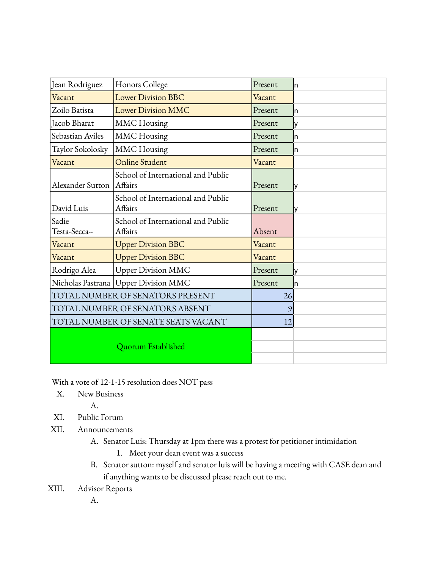| Jean Rodriguez                         | Honors College                                | Present | In |
|----------------------------------------|-----------------------------------------------|---------|----|
| Vacant                                 | <b>Lower Division BBC</b>                     | Vacant  |    |
| Zoilo Batista                          | <b>Lower Division MMC</b>                     | Present | In |
| Jacob Bharat                           | <b>MMC</b> Housing                            | Present | ly |
| Sebastian Aviles                       | <b>MMC</b> Housing                            | Present | In |
| Taylor Sokolosky                       | <b>MMC</b> Housing                            | Present | n. |
| Vacant                                 | <b>Online Student</b>                         | Vacant  |    |
| Alexander Sutton                       | School of International and Public<br>Affairs | Present | IУ |
| David Luis                             | School of International and Public<br>Affairs | Present | lу |
| Sadie<br>Testa-Secca--                 | School of International and Public<br>Affairs | Absent  |    |
| Vacant                                 | <b>Upper Division BBC</b>                     | Vacant  |    |
| Vacant                                 | <b>Upper Division BBC</b>                     | Vacant  |    |
| Rodrigo Alea                           | <b>Upper Division MMC</b>                     | Present | l٧ |
| Nicholas Pastrana   Upper Division MMC |                                               | Present | In |
| TOTAL NUMBER OF SENATORS PRESENT       |                                               | 26      |    |
| TOTAL NUMBER OF SENATORS ABSENT        |                                               | 9       |    |
| TOTAL NUMBER OF SENATE SEATS VACANT    |                                               | 12      |    |
| Quorum Established                     |                                               |         |    |

With a vote of 12-1-15 resolution does NOT pass

X. New Business

A.

- XI. Public Forum
- XII. Announcements
	- A. Senator Luis: Thursday at 1pm there was a protest for petitioner intimidation
		- 1. Meet your dean event was a success
	- B. Senator sutton: myself and senator luis will be having a meeting with CASE dean and if anything wants to be discussed please reach out to me.
- XIII. Advisor Reports

A.